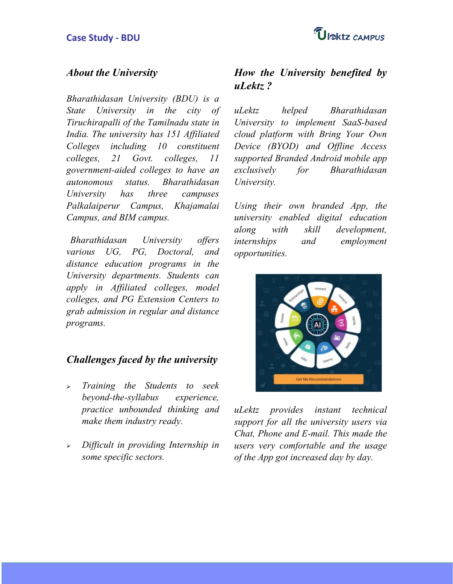## **About the University**

Bharathidasan University (BDU) is a State University in the city of uLektz helped Tiruchirapalli of the Tamilnadu state in India. The university has 151 Affiliated Colleges including 10 constituent colleges, 21 Govt. colleges, 11 government-aided colleges to have an autonomous status. Bharathidasan University has three campuses Palkalaiperur Campus, Khajamalai Campus, and BIM campus.

Bharathidasan University offers various UG, PG, Doctoral, and distance education programs in the University departments. Students can apply in Affiliated colleges, model colleges, and PG Extension Centers to grab admission in regular and distance programs.

## **Challenges faced by the university**

- > Training the Students to seek beyond-the-syllabus experience, practice unbounded thinking and make them industry ready.
- $\triangleright$  Difficult in providing Internship in some specific sectors.

## **How the University benefited by uLektz ?**

**Bharathidasan** University to implement SaaS-based cloud platform with Bring Your Own Device (BYOD) and Offline Access supported Branded Android mobile app **Bharathidasan** University.

Using their own branded App, the university enabled digital education along with skill development, and employment opportunities.



uLektz provides instant technical support for all the university users via Chat, Phone and E-mail. This made the users very comfortable and the usage of the App got increased day by day.